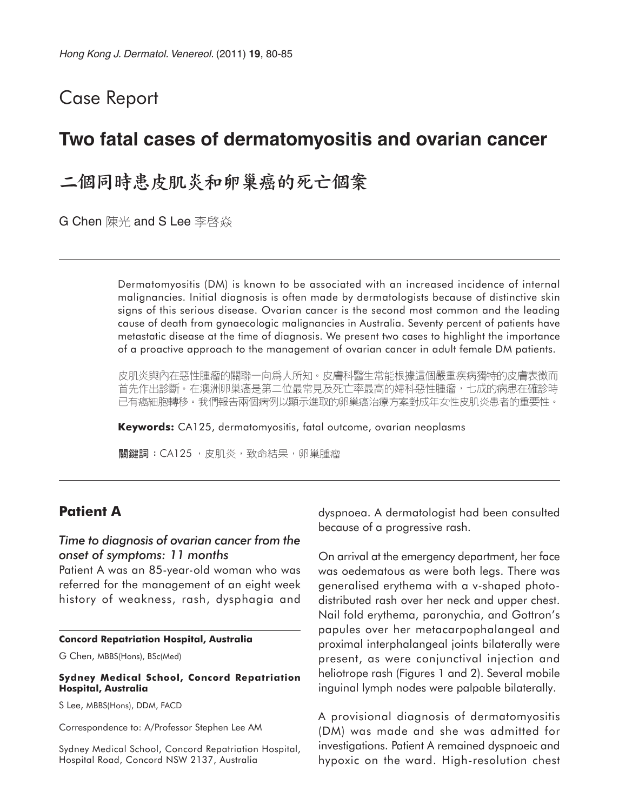# Case Report

# **Two fatal cases of dermatomyositis and ovarian cancer**

二個同時患皮肌炎和卵巢癌的死亡個案

G Chen 陳光 and S Lee 李啓焱

Dermatomyositis (DM) is known to be associated with an increased incidence of internal malignancies. Initial diagnosis is often made by dermatologists because of distinctive skin signs of this serious disease. Ovarian cancer is the second most common and the leading cause of death from gynaecologic malignancies in Australia. Seventy percent of patients have metastatic disease at the time of diagnosis. We present two cases to highlight the importance of a proactive approach to the management of ovarian cancer in adult female DM patients.

皮肌炎與內在惡性腫瘤的關聯一向爲人所知。皮膚科醫生常能根據這個嚴重疾病獨特的皮膚表徵而 首先作出診斷。在澳洲卵巢癌是第二位最常見及死亡率最高的婦科惡性腫瘤,七成的病患在確診時 已有癌細胞轉移。我們報告兩個病例以顯示進取的卵巢癌治療方案對成年女性皮肌炎患者的重要性。

**Keywords:** CA125, dermatomyositis, fatal outcome, ovarian neoplasms

關鍵詞: CA125, 皮肌炎, 致命結果, 卵巢腫瘤

# **Patient A**

### *Time to diagnosis of ovarian cancer from the onset of symptoms: 11 months*

Patient A was an 85-year-old woman who was referred for the management of an eight week history of weakness, rash, dysphagia and

#### **Concord Repatriation Hospital, Australia**

G Chen, MBBS(Hons), BSc(Med)

#### **Sydney Medical School, Concord Repatriation Hospital, Australia**

S Lee, MBBS(Hons), DDM, FACD

Correspondence to: A/Professor Stephen Lee AM

Sydney Medical School, Concord Repatriation Hospital, Hospital Road, Concord NSW 2137, Australia

dyspnoea. A dermatologist had been consulted because of a progressive rash.

On arrival at the emergency department, her face was oedematous as were both legs. There was generalised erythema with a v-shaped photodistributed rash over her neck and upper chest. Nail fold erythema, paronychia, and Gottron's papules over her metacarpophalangeal and proximal interphalangeal joints bilaterally were present, as were conjunctival injection and heliotrope rash (Figures 1 and 2). Several mobile inguinal lymph nodes were palpable bilaterally.

A provisional diagnosis of dermatomyositis (DM) was made and she was admitted for investigations. Patient A remained dyspnoeic and hypoxic on the ward. High-resolution chest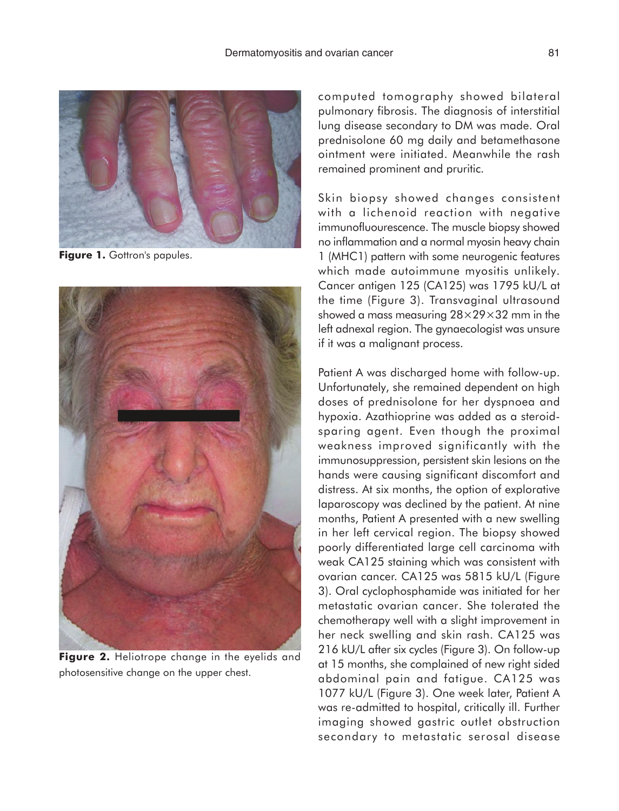

Figure 1. Gottron's papules.



**Figure 2.** Heliotrope change in the eyelids and photosensitive change on the upper chest.

computed tomography showed bilateral pulmonary fibrosis. The diagnosis of interstitial lung disease secondary to DM was made. Oral prednisolone 60 mg daily and betamethasone ointment were initiated. Meanwhile the rash remained prominent and pruritic.

Skin biopsy showed changes consistent with a lichenoid reaction with negative immunofluourescence. The muscle biopsy showed no inflammation and a normal myosin heavy chain 1 (MHC1) pattern with some neurogenic features which made autoimmune myositis unlikely. Cancer antigen 125 (CA125) was 1795 kU/L at the time (Figure 3). Transvaginal ultrasound showed a mass measuring 28×29×32 mm in the left adnexal region. The gynaecologist was unsure if it was a malignant process.

Patient A was discharged home with follow-up. Unfortunately, she remained dependent on high doses of prednisolone for her dyspnoea and hypoxia. Azathioprine was added as a steroidsparing agent. Even though the proximal weakness improved significantly with the immunosuppression, persistent skin lesions on the hands were causing significant discomfort and distress. At six months, the option of explorative laparoscopy was declined by the patient. At nine months, Patient A presented with a new swelling in her left cervical region. The biopsy showed poorly differentiated large cell carcinoma with weak CA125 staining which was consistent with ovarian cancer. CA125 was 5815 kU/L (Figure 3). Oral cyclophosphamide was initiated for her metastatic ovarian cancer. She tolerated the chemotherapy well with a slight improvement in her neck swelling and skin rash. CA125 was 216 kU/L after six cycles (Figure 3). On follow-up at 15 months, she complained of new right sided abdominal pain and fatigue. CA125 was 1077 kU/L (Figure 3). One week later, Patient A was re-admitted to hospital, critically ill. Further imaging showed gastric outlet obstruction secondary to metastatic serosal disease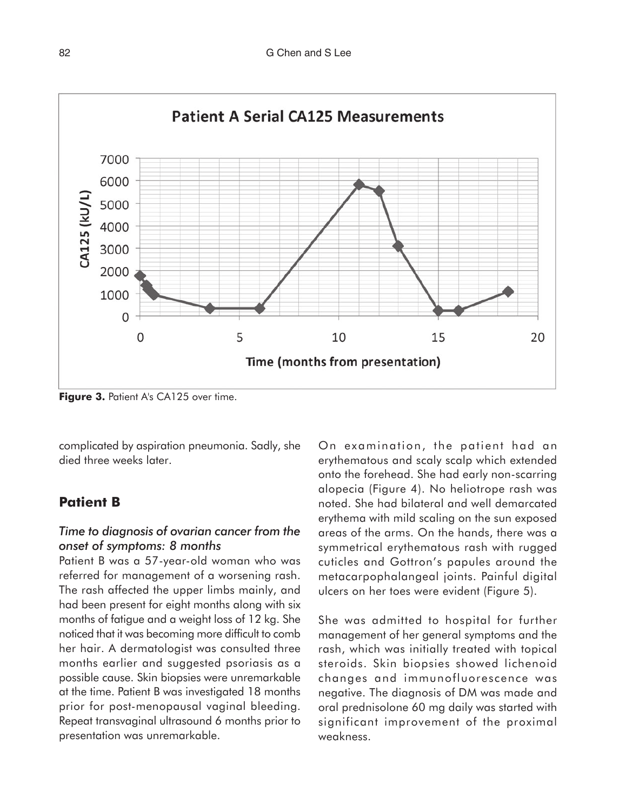![](_page_2_Figure_1.jpeg)

**Figure 3. Patient A's CA125 over time.** 

complicated by aspiration pneumonia. Sadly, she died three weeks later.

## **Patient B**

## *Time to diagnosis of ovarian cancer from the onset of symptoms: 8 months*

Patient B was a 57-year-old woman who was referred for management of a worsening rash. The rash affected the upper limbs mainly, and had been present for eight months along with six months of fatigue and a weight loss of 12 kg. She noticed that it was becoming more difficult to comb her hair. A dermatologist was consulted three months earlier and suggested psoriasis as a possible cause. Skin biopsies were unremarkable at the time. Patient B was investigated 18 months prior for post-menopausal vaginal bleeding. Repeat transvaginal ultrasound 6 months prior to presentation was unremarkable.

On examination, the patient had an erythematous and scaly scalp which extended onto the forehead. She had early non-scarring alopecia (Figure 4). No heliotrope rash was noted. She had bilateral and well demarcated erythema with mild scaling on the sun exposed areas of the arms. On the hands, there was a symmetrical erythematous rash with rugged cuticles and Gottron's papules around the metacarpophalangeal joints. Painful digital ulcers on her toes were evident (Figure 5).

She was admitted to hospital for further management of her general symptoms and the rash, which was initially treated with topical steroids. Skin biopsies showed lichenoid changes and immunofluorescence was negative. The diagnosis of DM was made and oral prednisolone 60 mg daily was started with significant improvement of the proximal weakness.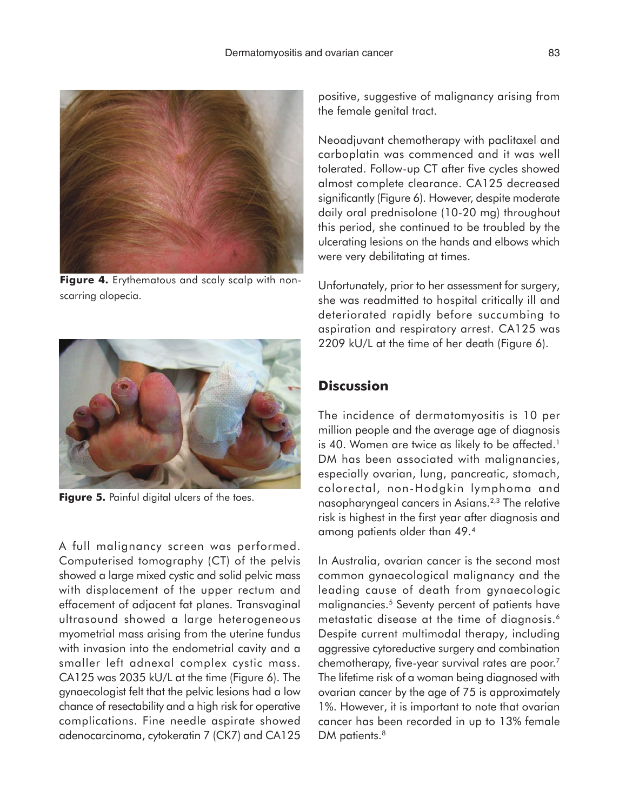![](_page_3_Picture_1.jpeg)

**Figure 4.** Erythematous and scaly scalp with nonscarring alopecia.

![](_page_3_Picture_3.jpeg)

**Figure 5.** Painful digital ulcers of the toes.

A full malignancy screen was performed. Computerised tomography (CT) of the pelvis showed a large mixed cystic and solid pelvic mass with displacement of the upper rectum and effacement of adjacent fat planes. Transvaginal ultrasound showed a large heterogeneous myometrial mass arising from the uterine fundus with invasion into the endometrial cavity and a smaller left adnexal complex cystic mass. CA125 was 2035 kU/L at the time (Figure 6). The gynaecologist felt that the pelvic lesions had a low chance of resectability and a high risk for operative complications. Fine needle aspirate showed adenocarcinoma, cytokeratin 7 (CK7) and CA125

positive, suggestive of malignancy arising from the female genital tract.

Neoadjuvant chemotherapy with paclitaxel and carboplatin was commenced and it was well tolerated. Follow-up CT after five cycles showed almost complete clearance. CA125 decreased significantly (Figure 6). However, despite moderate daily oral prednisolone (10-20 mg) throughout this period, she continued to be troubled by the ulcerating lesions on the hands and elbows which were very debilitating at times.

Unfortunately, prior to her assessment for surgery, she was readmitted to hospital critically ill and deteriorated rapidly before succumbing to aspiration and respiratory arrest. CA125 was 2209 kU/L at the time of her death (Figure 6).

# **Discussion**

The incidence of dermatomyositis is 10 per million people and the average age of diagnosis is 40. Women are twice as likely to be affected.<sup>1</sup> DM has been associated with malignancies, especially ovarian, lung, pancreatic, stomach, colorectal, non-Hodgkin lymphoma and nasopharyngeal cancers in Asians.2,3 The relative risk is highest in the first year after diagnosis and among patients older than 49.4

In Australia, ovarian cancer is the second most common gynaecological malignancy and the leading cause of death from gynaecologic malignancies.5 Seventy percent of patients have metastatic disease at the time of diagnosis.<sup>6</sup> Despite current multimodal therapy, including aggressive cytoreductive surgery and combination chemotherapy, five-year survival rates are poor.7 The lifetime risk of a woman being diagnosed with ovarian cancer by the age of 75 is approximately 1%. However, it is important to note that ovarian cancer has been recorded in up to 13% female DM patients.<sup>8</sup>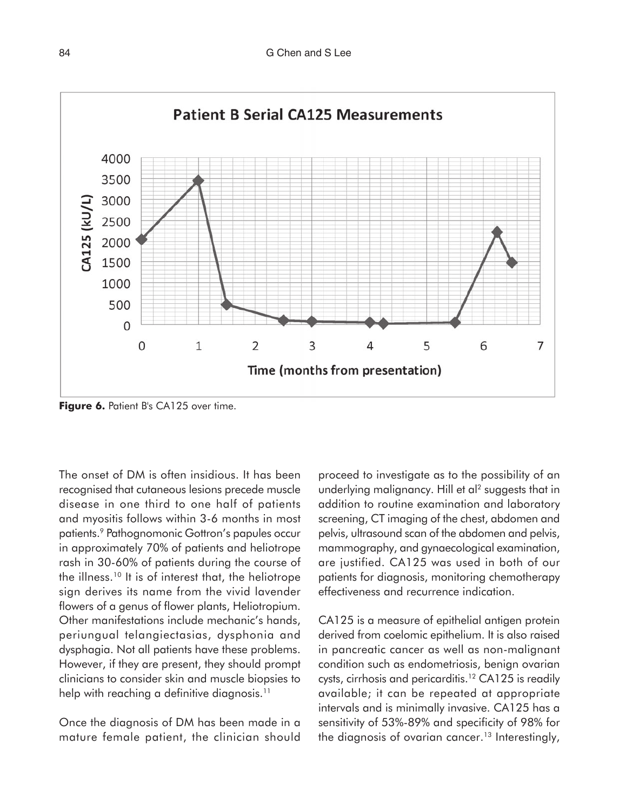![](_page_4_Figure_1.jpeg)

**Figure 6.** Patient B's CA125 over time.

The onset of DM is often insidious. It has been recognised that cutaneous lesions precede muscle disease in one third to one half of patients and myositis follows within 3-6 months in most patients.<sup>9</sup> Pathognomonic Gottron's papules occur in approximately 70% of patients and heliotrope rash in 30-60% of patients during the course of the illness.10 It is of interest that, the heliotrope sign derives its name from the vivid lavender flowers of a genus of flower plants, Heliotropium. Other manifestations include mechanic's hands, periungual telangiectasias, dysphonia and dysphagia. Not all patients have these problems. However, if they are present, they should prompt clinicians to consider skin and muscle biopsies to help with reaching a definitive diagnosis.<sup>11</sup>

Once the diagnosis of DM has been made in a mature female patient, the clinician should proceed to investigate as to the possibility of an underlying malignancy. Hill et al<sup>2</sup> suggests that in addition to routine examination and laboratory screening, CT imaging of the chest, abdomen and pelvis, ultrasound scan of the abdomen and pelvis, mammography, and gynaecological examination, are justified. CA125 was used in both of our patients for diagnosis, monitoring chemotherapy effectiveness and recurrence indication.

CA125 is a measure of epithelial antigen protein derived from coelomic epithelium. It is also raised in pancreatic cancer as well as non-malignant condition such as endometriosis, benign ovarian cysts, cirrhosis and pericarditis.<sup>12</sup> CA125 is readily available; it can be repeated at appropriate intervals and is minimally invasive. CA125 has a sensitivity of 53%-89% and specificity of 98% for the diagnosis of ovarian cancer.<sup>13</sup> Interestingly,